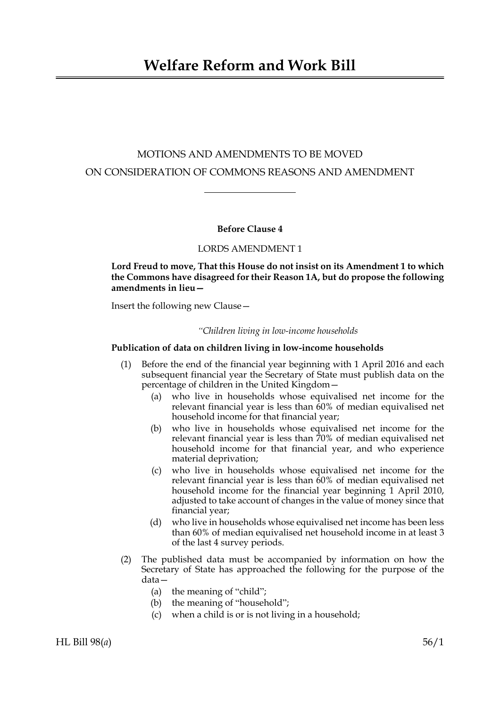# MOTIONS AND AMENDMENTS TO BE MOVED ON CONSIDERATION OF COMMONS REASONS AND AMENDMENT

# **Before Clause 4**

## LORDS AMENDMENT 1

# **Lord Freud to move, That this House do not insist on its Amendment 1 to which the Commons have disagreed for their Reason 1A, but do propose the following amendments in lieu—**

Insert the following new Clause—

#### *"Children living in low-income households*

### **Publication of data on children living in low-income households**

- (1) Before the end of the financial year beginning with 1 April 2016 and each subsequent financial year the Secretary of State must publish data on the percentage of children in the United Kingdom—
	- (a) who live in households whose equivalised net income for the relevant financial year is less than 60% of median equivalised net household income for that financial year;
	- (b) who live in households whose equivalised net income for the relevant financial year is less than 70% of median equivalised net household income for that financial year, and who experience material deprivation;
	- (c) who live in households whose equivalised net income for the relevant financial year is less than 60% of median equivalised net household income for the financial year beginning 1 April 2010, adjusted to take account of changes in the value of money since that financial year;
	- (d) who live in households whose equivalised net income has been less than 60% of median equivalised net household income in at least 3 of the last 4 survey periods.
- (2) The published data must be accompanied by information on how the Secretary of State has approached the following for the purpose of the data—
	- (a) the meaning of "child";
	- (b) the meaning of "household";
	- (c) when a child is or is not living in a household;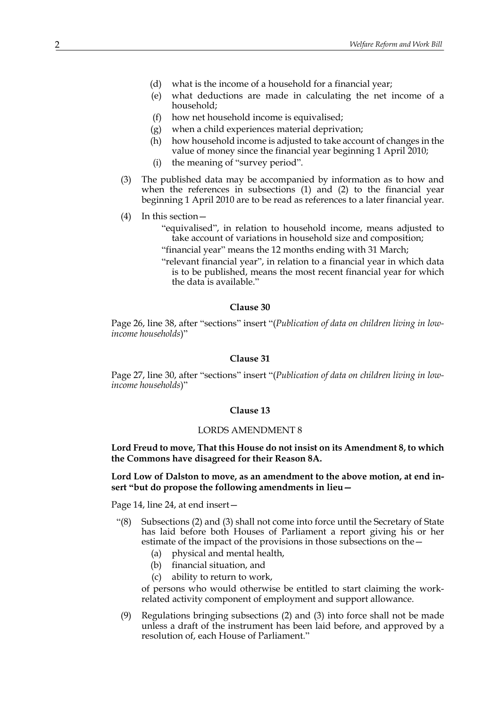- (d) what is the income of a household for a financial year;
- (e) what deductions are made in calculating the net income of a household;
- (f) how net household income is equivalised;
- (g) when a child experiences material deprivation;
- (h) how household income is adjusted to take account of changes in the value of money since the financial year beginning 1 April 2010;
- (i) the meaning of "survey period".
- (3) The published data may be accompanied by information as to how and when the references in subsections (1) and (2) to the financial year beginning 1 April 2010 are to be read as references to a later financial year.
- (4) In this section—
	- "equivalised", in relation to household income, means adjusted to take account of variations in household size and composition;
	- "financial year" means the 12 months ending with 31 March;
	- "relevant financial year", in relation to a financial year in which data is to be published, means the most recent financial year for which the data is available."

## **Clause 30**

Page 26, line 38, after "sections" insert "(*Publication of data on children living in lowincome households*)"

#### **Clause 31**

Page 27, line 30, after "sections" insert "(*Publication of data on children living in lowincome households*)"

### **Clause 13**

#### LORDS AMENDMENT 8

**Lord Freud to move, That this House do not insist on its Amendment 8, to which the Commons have disagreed for their Reason 8A.**

**Lord Low of Dalston to move, as an amendment to the above motion, at end insert "but do propose the following amendments in lieu—**

Page 14, line 24, at end insert—

- "(8) Subsections (2) and (3) shall not come into force until the Secretary of State has laid before both Houses of Parliament a report giving his or her estimate of the impact of the provisions in those subsections on the—
	- (a) physical and mental health,
	- (b) financial situation, and
	- (c) ability to return to work,

of persons who would otherwise be entitled to start claiming the workrelated activity component of employment and support allowance.

(9) Regulations bringing subsections (2) and (3) into force shall not be made unless a draft of the instrument has been laid before, and approved by a resolution of, each House of Parliament."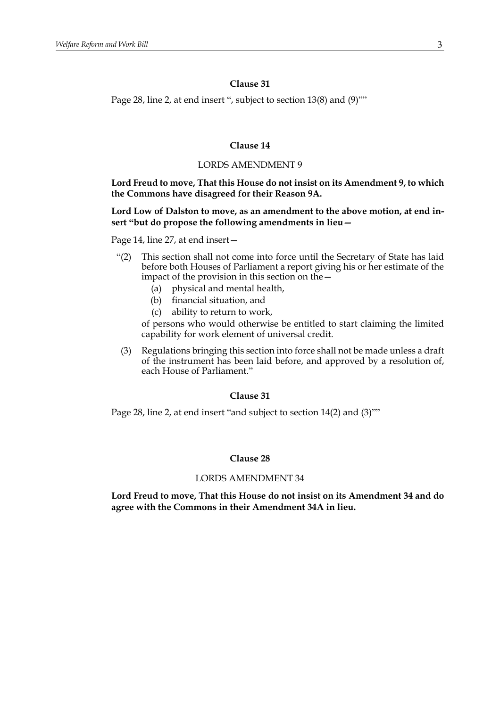# **Clause 31**

Page 28, line 2, at end insert ", subject to section 13(8) and (9)""

# **Clause 14**

## LORDS AMENDMENT 9

# **Lord Freud to move, That this House do not insist on its Amendment 9, to which the Commons have disagreed for their Reason 9A.**

## **Lord Low of Dalston to move, as an amendment to the above motion, at end insert "but do propose the following amendments in lieu—**

Page 14, line 27, at end insert—

- "(2) This section shall not come into force until the Secretary of State has laid before both Houses of Parliament a report giving his or her estimate of the impact of the provision in this section on the—
	- (a) physical and mental health,
	- (b) financial situation, and
	- (c) ability to return to work,

of persons who would otherwise be entitled to start claiming the limited capability for work element of universal credit.

(3) Regulations bringing this section into force shall not be made unless a draft of the instrument has been laid before, and approved by a resolution of, each House of Parliament."

### **Clause 31**

Page 28, line 2, at end insert "and subject to section 14(2) and (3)""

## **Clause 28**

#### LORDS AMENDMENT 34

**Lord Freud to move, That this House do not insist on its Amendment 34 and do agree with the Commons in their Amendment 34A in lieu.**